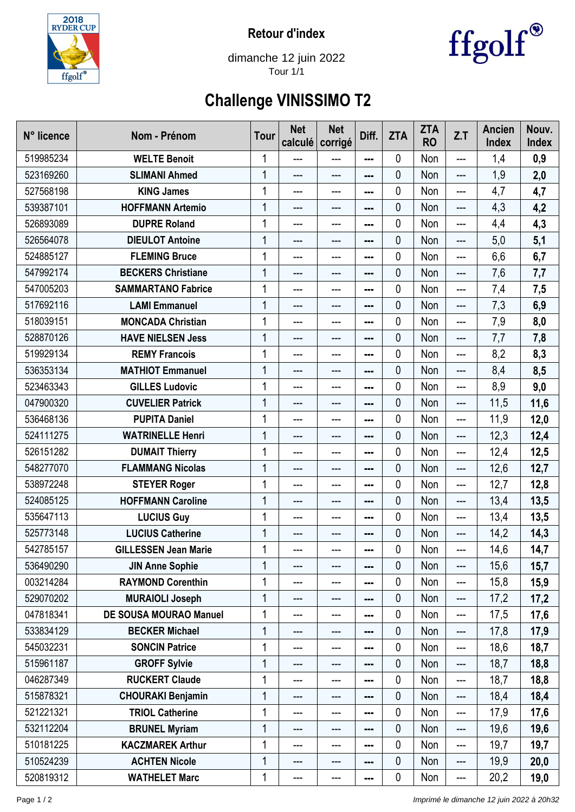

**Retour d'index**



dimanche 12 juin 2022 Tour 1/1

## **Challenge VINISSIMO T2**

| N° licence | Nom - Prénom                  | <b>Tour</b> | <b>Net</b><br>calculé | <b>Net</b><br>corrigé | Diff. | <b>ZTA</b> | <b>ZTA</b><br><b>RO</b> | Z.T               | <b>Ancien</b><br><b>Index</b> | Nouv.<br>Index |
|------------|-------------------------------|-------------|-----------------------|-----------------------|-------|------------|-------------------------|-------------------|-------------------------------|----------------|
| 519985234  | <b>WELTE Benoit</b>           | 1           | ---                   | ---                   | ---   | 0          | Non                     | ---               | 1,4                           | 0,9            |
| 523169260  | <b>SLIMANI Ahmed</b>          | 1           | ---                   | ---                   | ---   | 0          | Non                     | ---               | 1,9                           | 2,0            |
| 527568198  | <b>KING James</b>             | 1           | ---                   | ---                   | ---   | 0          | Non                     | ---               | 4,7                           | 4,7            |
| 539387101  | <b>HOFFMANN Artemio</b>       | 1           | ---                   | ---                   | ---   | 0          | Non                     | ---               | 4,3                           | 4,2            |
| 526893089  | <b>DUPRE Roland</b>           |             | ---                   | ---                   |       | 0          | Non                     | ---               | 4,4                           | 4,3            |
| 526564078  | <b>DIEULOT Antoine</b>        | 1           | ---                   | ---                   | ---   | 0          | Non                     | ---               | 5,0                           | 5,1            |
| 524885127  | <b>FLEMING Bruce</b>          |             | $---$                 | ---                   |       | 0          | Non                     | ---               | 6,6                           | 6,7            |
| 547992174  | <b>BECKERS Christiane</b>     | 1           | ---                   | ---                   | ---   | 0          | Non                     | ---               | 7,6                           | 7,7            |
| 547005203  | <b>SAMMARTANO Fabrice</b>     | 1           | ---                   | ---                   | ---   | 0          | Non                     | ---               | 7,4                           | 7,5            |
| 517692116  | <b>LAMI Emmanuel</b>          | 1           | ---                   | ---                   |       | 0          | Non                     | $---$             | 7,3                           | 6,9            |
| 518039151  | <b>MONCADA Christian</b>      | 1           | ---                   | ---                   | ---   | 0          | Non                     | ---               | 7,9                           | 8,0            |
| 528870126  | <b>HAVE NIELSEN Jess</b>      | 1           | ---                   | ---                   | ---   | 0          | Non                     | ---               | 7,7                           | 7,8            |
| 519929134  | <b>REMY Francois</b>          |             | ---                   | ---                   | ---   | 0          | Non                     | ---               | 8,2                           | 8,3            |
| 536353134  | <b>MATHIOT Emmanuel</b>       | 1           | ---                   | ---                   | ---   | 0          | Non                     | ---               | 8,4                           | 8,5            |
| 523463343  | <b>GILLES Ludovic</b>         | 1           | ---                   | ---                   | ---   | 0          | Non                     | ---               | 8,9                           | 9,0            |
| 047900320  | <b>CUVELIER Patrick</b>       | 1           | ---                   | ---                   | ---   | 0          | Non                     | ---               | 11,5                          | 11,6           |
| 536468136  | <b>PUPITA Daniel</b>          | 1           | ---                   | ---                   | ---   | 0          | Non                     | ---               | 11,9                          | 12,0           |
| 524111275  | <b>WATRINELLE Henri</b>       | 1           | ---                   | ---                   | ---   | 0          | Non                     | ---               | 12,3                          | 12,4           |
| 526151282  | <b>DUMAIT Thierry</b>         |             | ---                   | ---                   | ---   | 0          | Non                     | ---               | 12,4                          | 12,5           |
| 548277070  | <b>FLAMMANG Nicolas</b>       | 1           | ---                   | ---                   | ---   | 0          | Non                     | ---               | 12,6                          | 12,7           |
| 538972248  | <b>STEYER Roger</b>           |             | ---                   | ---                   |       | 0          | Non                     | ---               | 12,7                          | 12,8           |
| 524085125  | <b>HOFFMANN Caroline</b>      | 1           | ---                   | ---                   |       | 0          | Non                     | ---               | 13,4                          | 13,5           |
| 535647113  | <b>LUCIUS Guy</b>             | 1           | ---                   | ---                   | ---   | 0          | Non                     | ---               | 13,4                          | 13,5           |
| 525773148  | <b>LUCIUS Catherine</b>       | 1           | ---                   | ---                   | ---   | 0          | Non                     | ---               | 14,2                          | 14,3           |
| 542785157  | <b>GILLESSEN Jean Marie</b>   |             | ---                   | ---                   | ---   | 0          | Non                     | ---               | 14,6                          | 14,7           |
| 536490290  | <b>JIN Anne Sophie</b>        | 1           | ---                   | ---                   | ---   | 0          | Non                     | ---               | 15,6                          | 15,7           |
| 003214284  | <b>RAYMOND Corenthin</b>      | 1           | ---                   | ---                   | ---   | 0          | Non                     | $---$             | 15,8                          | 15,9           |
| 529070202  | <b>MURAIOLI Joseph</b>        | 1           | ---                   | ---                   | ---   | 0          | Non                     | $---$             | 17,2                          | 17,2           |
| 047818341  | <b>DE SOUSA MOURAO Manuel</b> | 1           | ---                   | ---                   |       | 0          | Non                     | ---               | 17,5                          | 17,6           |
| 533834129  | <b>BECKER Michael</b>         | 1           | ---                   | ---                   | ---   | 0          | Non                     | ---               | 17,8                          | 17,9           |
| 545032231  | <b>SONCIN Patrice</b>         | 1           | ---                   | ---                   | ---   | 0          | Non                     | ---               | 18,6                          | 18,7           |
| 515961187  | <b>GROFF Sylvie</b>           | 1           | ---                   | ---                   | ---   | 0          | Non                     | ---               | 18,7                          | 18,8           |
| 046287349  | <b>RUCKERT Claude</b>         | 1           | ---                   | ---                   |       | 0          | Non                     | $---$             | 18,7                          | 18,8           |
| 515878321  | <b>CHOURAKI Benjamin</b>      | 1           | ---                   | ---                   | ---   | 0          | Non                     | $---$             | 18,4                          | 18,4           |
| 521221321  | <b>TRIOL Catherine</b>        |             | ---                   | ---                   | ---   | 0          | Non                     | ---               | 17,9                          | 17,6           |
| 532112204  | <b>BRUNEL Myriam</b>          | 1           | ---                   | ---                   | ---   | 0          | Non                     | ---               | 19,6                          | 19,6           |
| 510181225  | <b>KACZMAREK Arthur</b>       | 1           | ---                   | ---                   | ---   | 0          | Non                     | ---               | 19,7                          | 19,7           |
| 510524239  | <b>ACHTEN Nicole</b>          | 1           | ---                   | ---                   | ---   | 0          | Non                     | $---$             | 19,9                          | 20,0           |
| 520819312  | <b>WATHELET Marc</b>          | 1           | ---                   | ---                   | ---   | 0          | Non                     | $\qquad \qquad -$ | 20,2                          | 19,0           |